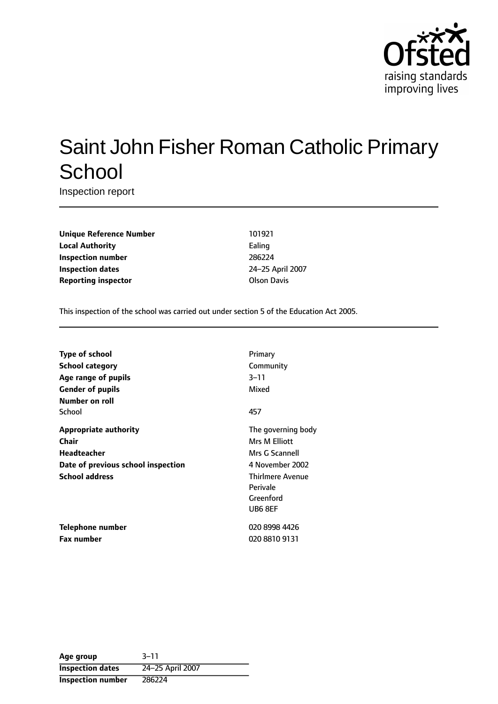

# Saint John Fisher Roman Catholic Primary **School**

Inspection report

**Unique Reference Number** 101921 **Local Authority** Ealing **Inspection number** 286224 **Inspection dates** 24-25 April 2007 **Reporting inspector COLLEGATE:** Olson Davis

This inspection of the school was carried out under section 5 of the Education Act 2005.

| Type of school                     | Primary                 |
|------------------------------------|-------------------------|
| <b>School category</b>             | Community               |
| Age range of pupils                | 3–11                    |
| <b>Gender of pupils</b>            | Mixed                   |
| Number on roll                     |                         |
| School                             | 457                     |
| <b>Appropriate authority</b>       | The governing body      |
| Chair                              | Mrs M Elliott           |
| Headteacher                        | Mrs G Scannell          |
| Date of previous school inspection | 4 November 2002         |
| <b>School address</b>              | <b>Thirlmere Avenue</b> |
|                                    | Perivale                |
|                                    | Greenford               |
|                                    | UB6 8EF                 |
| <b>Telephone number</b>            | 020 8998 4426           |
| <b>Fax number</b>                  | 020 8810 9131           |

**Age** group 3-11 **Inspection dates** 24-25 April 2007 **Inspection number** 286224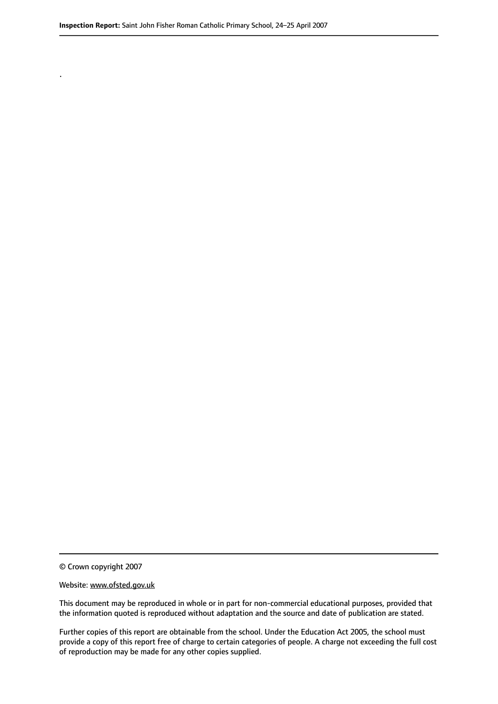© Crown copyright 2007

.

#### Website: www.ofsted.gov.uk

This document may be reproduced in whole or in part for non-commercial educational purposes, provided that the information quoted is reproduced without adaptation and the source and date of publication are stated.

Further copies of this report are obtainable from the school. Under the Education Act 2005, the school must provide a copy of this report free of charge to certain categories of people. A charge not exceeding the full cost of reproduction may be made for any other copies supplied.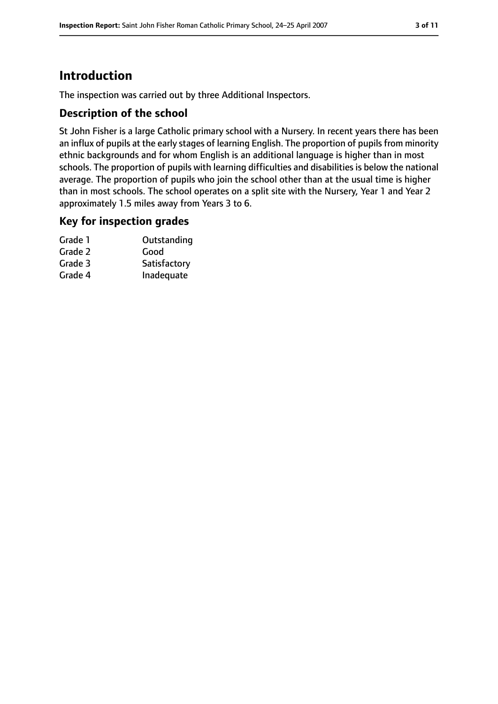# **Introduction**

The inspection was carried out by three Additional Inspectors.

## **Description of the school**

St John Fisher is a large Catholic primary school with a Nursery. In recent years there has been an influx of pupils at the early stages of learning English. The proportion of pupils from minority ethnic backgrounds and for whom English is an additional language is higher than in most schools. The proportion of pupils with learning difficulties and disabilities is below the national average. The proportion of pupils who join the school other than at the usual time is higher than in most schools. The school operates on a split site with the Nursery, Year 1 and Year 2 approximately 1.5 miles away from Years 3 to 6.

## **Key for inspection grades**

| Grade 1 | Outstanding  |
|---------|--------------|
| Grade 2 | Good         |
| Grade 3 | Satisfactory |
| Grade 4 | Inadequate   |
|         |              |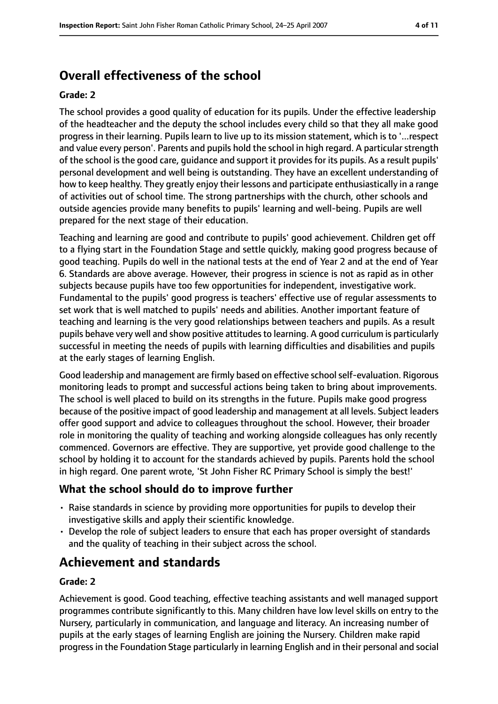# **Overall effectiveness of the school**

#### **Grade: 2**

The school provides a good quality of education for its pupils. Under the effective leadership of the headteacher and the deputy the school includes every child so that they all make good progress in their learning. Pupils learn to live up to its mission statement, which is to '...respect and value every person'. Parents and pupils hold the school in high regard. A particular strength of the school is the good care, guidance and support it provides for its pupils. As a result pupils' personal development and well being is outstanding. They have an excellent understanding of how to keep healthy. They greatly enjoy their lessons and participate enthusiastically in a range of activities out of school time. The strong partnerships with the church, other schools and outside agencies provide many benefits to pupils' learning and well-being. Pupils are well prepared for the next stage of their education.

Teaching and learning are good and contribute to pupils' good achievement. Children get off to a flying start in the Foundation Stage and settle quickly, making good progress because of good teaching. Pupils do well in the national tests at the end of Year 2 and at the end of Year 6. Standards are above average. However, their progress in science is not as rapid as in other subjects because pupils have too few opportunities for independent, investigative work. Fundamental to the pupils' good progress is teachers' effective use of regular assessments to set work that is well matched to pupils' needs and abilities. Another important feature of teaching and learning is the very good relationships between teachers and pupils. As a result pupils behave very well and show positive attitudesto learning. A good curriculum is particularly successful in meeting the needs of pupils with learning difficulties and disabilities and pupils at the early stages of learning English.

Good leadership and management are firmly based on effective school self-evaluation. Rigorous monitoring leads to prompt and successful actions being taken to bring about improvements. The school is well placed to build on its strengths in the future. Pupils make good progress because of the positive impact of good leadership and management at all levels. Subject leaders offer good support and advice to colleagues throughout the school. However, their broader role in monitoring the quality of teaching and working alongside colleagues has only recently commenced. Governors are effective. They are supportive, yet provide good challenge to the school by holding it to account for the standards achieved by pupils. Parents hold the school in high regard. One parent wrote, 'St John Fisher RC Primary School is simply the best!'

### **What the school should do to improve further**

- Raise standards in science by providing more opportunities for pupils to develop their investigative skills and apply their scientific knowledge.
- Develop the role of subject leaders to ensure that each has proper oversight of standards and the quality of teaching in their subject across the school.

# **Achievement and standards**

#### **Grade: 2**

Achievement is good. Good teaching, effective teaching assistants and well managed support programmes contribute significantly to this. Many children have low level skills on entry to the Nursery, particularly in communication, and language and literacy. An increasing number of pupils at the early stages of learning English are joining the Nursery. Children make rapid progress in the Foundation Stage particularly in learning English and in their personal and social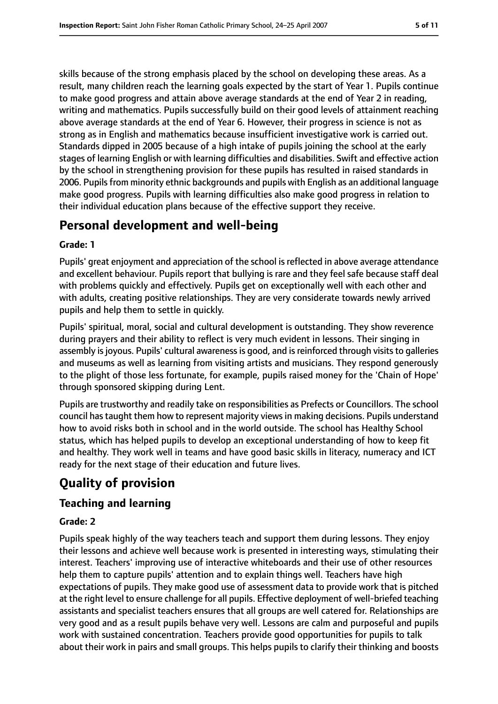skills because of the strong emphasis placed by the school on developing these areas. As a result, many children reach the learning goals expected by the start of Year 1. Pupils continue to make good progress and attain above average standards at the end of Year 2 in reading, writing and mathematics. Pupils successfully build on their good levels of attainment reaching above average standards at the end of Year 6. However, their progress in science is not as strong as in English and mathematics because insufficient investigative work is carried out. Standards dipped in 2005 because of a high intake of pupils joining the school at the early stages of learning English or with learning difficulties and disabilities. Swift and effective action by the school in strengthening provision for these pupils has resulted in raised standards in 2006. Pupils from minority ethnic backgrounds and pupils with English as an additional language make good progress. Pupils with learning difficulties also make good progress in relation to their individual education plans because of the effective support they receive.

# **Personal development and well-being**

#### **Grade: 1**

Pupils' great enjoyment and appreciation of the school is reflected in above average attendance and excellent behaviour. Pupils report that bullying is rare and they feel safe because staff deal with problems quickly and effectively. Pupils get on exceptionally well with each other and with adults, creating positive relationships. They are very considerate towards newly arrived pupils and help them to settle in quickly.

Pupils' spiritual, moral, social and cultural development is outstanding. They show reverence during prayers and their ability to reflect is very much evident in lessons. Their singing in assembly is joyous. Pupils' cultural awareness is good, and is reinforced through visits to galleries and museums as well as learning from visiting artists and musicians. They respond generously to the plight of those less fortunate, for example, pupils raised money for the 'Chain of Hope' through sponsored skipping during Lent.

Pupils are trustworthy and readily take on responsibilities as Prefects or Councillors. The school council has taught them how to represent majority views in making decisions. Pupils understand how to avoid risks both in school and in the world outside. The school has Healthy School status, which has helped pupils to develop an exceptional understanding of how to keep fit and healthy. They work well in teams and have good basic skills in literacy, numeracy and ICT ready for the next stage of their education and future lives.

# **Quality of provision**

## **Teaching and learning**

#### **Grade: 2**

Pupils speak highly of the way teachers teach and support them during lessons. They enjoy their lessons and achieve well because work is presented in interesting ways, stimulating their interest. Teachers' improving use of interactive whiteboards and their use of other resources help them to capture pupils' attention and to explain things well. Teachers have high expectations of pupils. They make good use of assessment data to provide work that is pitched at the right level to ensure challenge for all pupils. Effective deployment of well-briefed teaching assistants and specialist teachers ensures that all groups are well catered for. Relationships are very good and as a result pupils behave very well. Lessons are calm and purposeful and pupils work with sustained concentration. Teachers provide good opportunities for pupils to talk about their work in pairs and small groups. This helps pupils to clarify their thinking and boosts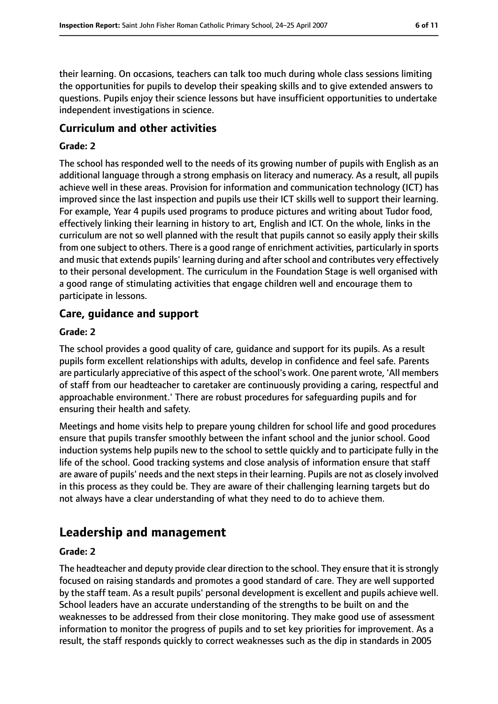their learning. On occasions, teachers can talk too much during whole class sessions limiting the opportunities for pupils to develop their speaking skills and to give extended answers to questions. Pupils enjoy their science lessons but have insufficient opportunities to undertake independent investigations in science.

## **Curriculum and other activities**

#### **Grade: 2**

The school has responded well to the needs of its growing number of pupils with English as an additional language through a strong emphasis on literacy and numeracy. As a result, all pupils achieve well in these areas. Provision for information and communication technology (ICT) has improved since the last inspection and pupils use their ICT skills well to support their learning. For example, Year 4 pupils used programs to produce pictures and writing about Tudor food, effectively linking their learning in history to art, English and ICT. On the whole, links in the curriculum are not so well planned with the result that pupils cannot so easily apply their skills from one subject to others. There is a good range of enrichment activities, particularly in sports and music that extends pupils' learning during and after school and contributes very effectively to their personal development. The curriculum in the Foundation Stage is well organised with a good range of stimulating activities that engage children well and encourage them to participate in lessons.

## **Care, guidance and support**

#### **Grade: 2**

The school provides a good quality of care, guidance and support for its pupils. As a result pupils form excellent relationships with adults, develop in confidence and feel safe. Parents are particularly appreciative of this aspect of the school's work. One parent wrote, 'All members of staff from our headteacher to caretaker are continuously providing a caring, respectful and approachable environment.' There are robust procedures for safeguarding pupils and for ensuring their health and safety.

Meetings and home visits help to prepare young children for school life and good procedures ensure that pupils transfer smoothly between the infant school and the junior school. Good induction systems help pupils new to the school to settle quickly and to participate fully in the life of the school. Good tracking systems and close analysis of information ensure that staff are aware of pupils' needs and the next steps in their learning. Pupils are not as closely involved in this process as they could be. They are aware of their challenging learning targets but do not always have a clear understanding of what they need to do to achieve them.

# **Leadership and management**

#### **Grade: 2**

The headteacher and deputy provide clear direction to the school. They ensure that it is strongly focused on raising standards and promotes a good standard of care. They are well supported by the staff team. As a result pupils' personal development is excellent and pupils achieve well. School leaders have an accurate understanding of the strengths to be built on and the weaknesses to be addressed from their close monitoring. They make good use of assessment information to monitor the progress of pupils and to set key priorities for improvement. As a result, the staff responds quickly to correct weaknesses such as the dip in standards in 2005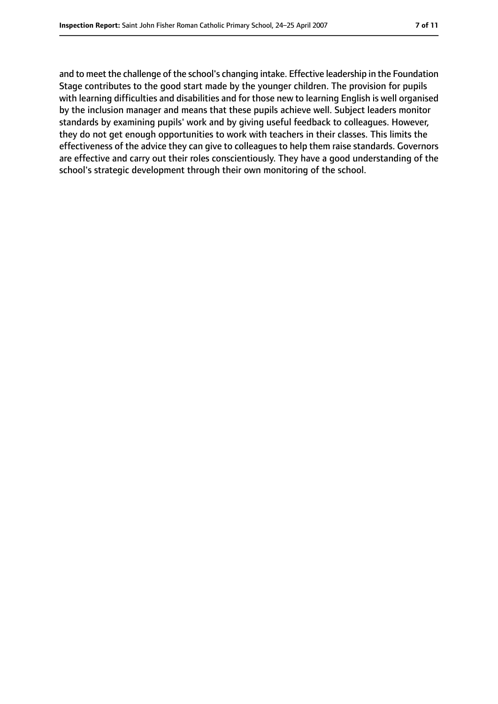and to meet the challenge of the school's changing intake. Effective leadership in the Foundation Stage contributes to the good start made by the younger children. The provision for pupils with learning difficulties and disabilities and for those new to learning English is well organised by the inclusion manager and means that these pupils achieve well. Subject leaders monitor standards by examining pupils' work and by giving useful feedback to colleagues. However, they do not get enough opportunities to work with teachers in their classes. This limits the effectiveness of the advice they can give to colleagues to help them raise standards. Governors are effective and carry out their roles conscientiously. They have a good understanding of the school's strategic development through their own monitoring of the school.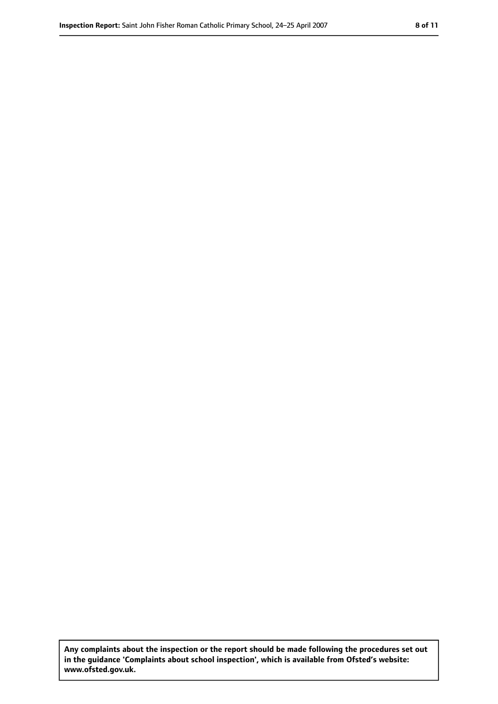**Any complaints about the inspection or the report should be made following the procedures set out in the guidance 'Complaints about school inspection', which is available from Ofsted's website: www.ofsted.gov.uk.**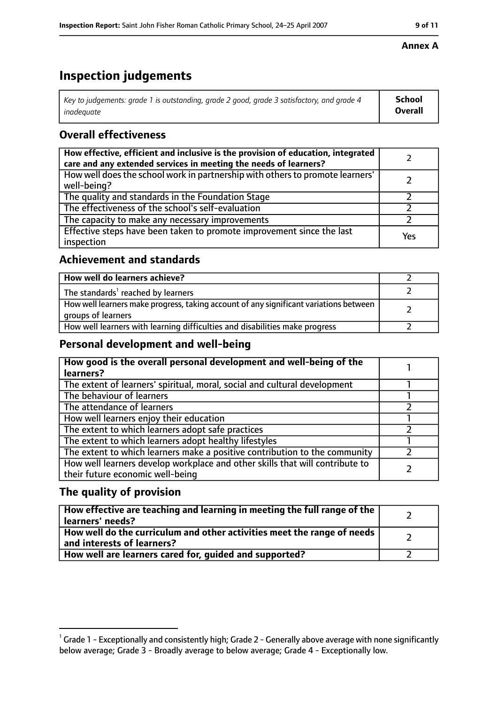# **Inspection judgements**

| Key to judgements: grade 1 is outstanding, grade 2 good, grade 3 satisfactory, and grade 4 | <b>School</b>  |
|--------------------------------------------------------------------------------------------|----------------|
| inadeauate                                                                                 | <b>Overall</b> |

# **Overall effectiveness**

| How effective, efficient and inclusive is the provision of education, integrated<br>care and any extended services in meeting the needs of learners? |     |
|------------------------------------------------------------------------------------------------------------------------------------------------------|-----|
| How well does the school work in partnership with others to promote learners'<br>well-being?                                                         |     |
| The quality and standards in the Foundation Stage                                                                                                    |     |
| The effectiveness of the school's self-evaluation                                                                                                    |     |
| The capacity to make any necessary improvements                                                                                                      |     |
| Effective steps have been taken to promote improvement since the last<br>inspection                                                                  | Yes |

## **Achievement and standards**

| How well do learners achieve?                                                                               |  |
|-------------------------------------------------------------------------------------------------------------|--|
| The standards <sup>1</sup> reached by learners                                                              |  |
| How well learners make progress, taking account of any significant variations between<br>groups of learners |  |
| How well learners with learning difficulties and disabilities make progress                                 |  |

## **Personal development and well-being**

| How good is the overall personal development and well-being of the<br>learners? |  |
|---------------------------------------------------------------------------------|--|
|                                                                                 |  |
| The extent of learners' spiritual, moral, social and cultural development       |  |
| The behaviour of learners                                                       |  |
| The attendance of learners                                                      |  |
| How well learners enjoy their education                                         |  |
| The extent to which learners adopt safe practices                               |  |
| The extent to which learners adopt healthy lifestyles                           |  |
| The extent to which learners make a positive contribution to the community      |  |
| How well learners develop workplace and other skills that will contribute to    |  |
| their future economic well-being                                                |  |

## **The quality of provision**

| How effective are teaching and learning in meeting the full range of the<br>learners' needs?          |  |
|-------------------------------------------------------------------------------------------------------|--|
| How well do the curriculum and other activities meet the range of needs<br>and interests of learners? |  |
| How well are learners cared for, quided and supported?                                                |  |

### **Annex A**

 $^1$  Grade 1 - Exceptionally and consistently high; Grade 2 - Generally above average with none significantly below average; Grade 3 - Broadly average to below average; Grade 4 - Exceptionally low.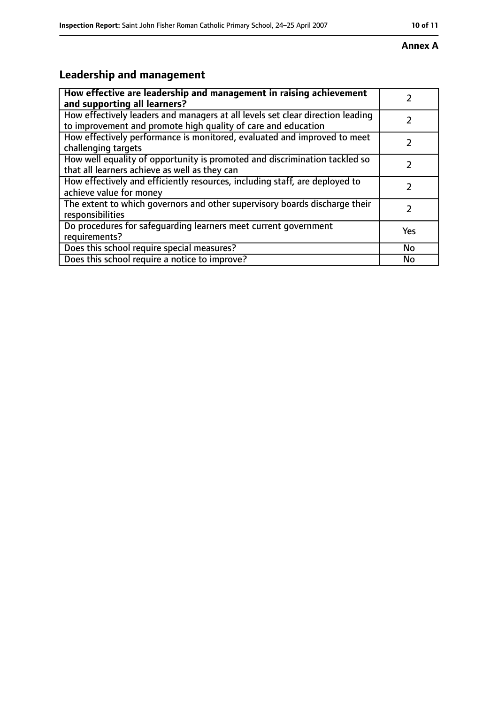#### **Annex A**

# **Leadership and management**

| How effective are leadership and management in raising achievement                                                                              |           |
|-------------------------------------------------------------------------------------------------------------------------------------------------|-----------|
| and supporting all learners?                                                                                                                    |           |
| How effectively leaders and managers at all levels set clear direction leading<br>to improvement and promote high quality of care and education |           |
| How effectively performance is monitored, evaluated and improved to meet<br>challenging targets                                                 |           |
| How well equality of opportunity is promoted and discrimination tackled so<br>that all learners achieve as well as they can                     |           |
| How effectively and efficiently resources, including staff, are deployed to<br>achieve value for money                                          |           |
| The extent to which governors and other supervisory boards discharge their<br>responsibilities                                                  |           |
| Do procedures for safequarding learners meet current government<br>requirements?                                                                | Yes       |
| Does this school require special measures?                                                                                                      | <b>No</b> |
| Does this school require a notice to improve?                                                                                                   | No        |